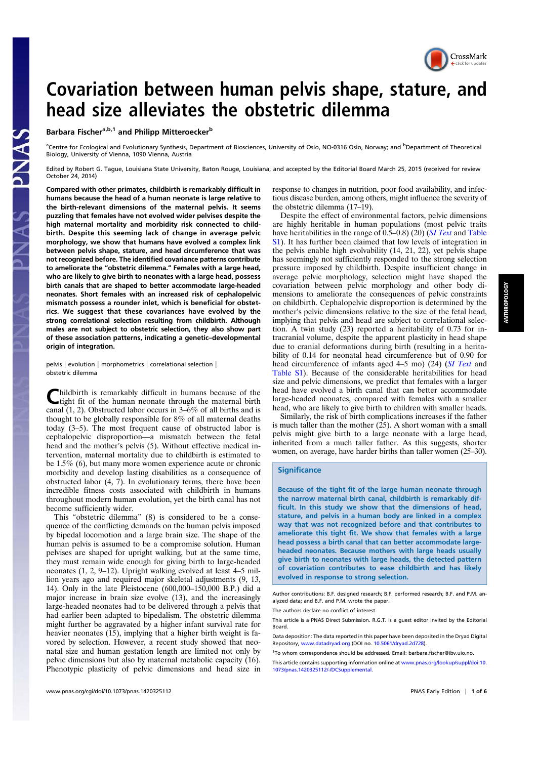

# Covariation between human pelvis shape, stature, and head size alleviates the obstetric dilemma

Barbara Fischer<sup>a,b,1</sup> and Philipp Mitteroecker<sup>b</sup>

AS PNAS

<sup>a</sup>Centre for Ecological and Evolutionary Synthesis, Department of Biosciences, University of Oslo, NO-0316 Oslo, Norway; and <sup>b</sup>Department of Theoretical Biology, University of Vienna, 1090 Vienna, Austria

Edited by Robert G. Tague, Louisiana State University, Baton Rouge, Louisiana, and accepted by the Editorial Board March 25, 2015 (received for review October 24, 2014)

Compared with other primates, childbirth is remarkably difficult in humans because the head of a human neonate is large relative to the birth-relevant dimensions of the maternal pelvis. It seems puzzling that females have not evolved wider pelvises despite the high maternal mortality and morbidity risk connected to childbirth. Despite this seeming lack of change in average pelvic morphology, we show that humans have evolved a complex link between pelvis shape, stature, and head circumference that was not recognized before. The identified covariance patterns contribute to ameliorate the "obstetric dilemma." Females with a large head, who are likely to give birth to neonates with a large head, possess birth canals that are shaped to better accommodate large-headed neonates. Short females with an increased risk of cephalopelvic mismatch possess a rounder inlet, which is beneficial for obstetrics. We suggest that these covariances have evolved by the strong correlational selection resulting from childbirth. Although males are not subject to obstetric selection, they also show part of these association patterns, indicating a genetic–developmental origin of integration.

pelvis | evolution | morphometrics | correlational selection | obstetric dilemma

Childbirth is remarkably difficult in humans because of the tight fit of the human neonate through the maternal birth canal (1, 2). Obstructed labor occurs in 3–6% of all births and is thought to be globally responsible for 8% of all maternal deaths today (3–5). The most frequent cause of obstructed labor is cephalopelvic disproportion—a mismatch between the fetal head and the mother's pelvis (5). Without effective medical intervention, maternal mortality due to childbirth is estimated to be 1.5% (6), but many more women experience acute or chronic morbidity and develop lasting disabilities as a consequence of obstructed labor (4, 7). In evolutionary terms, there have been incredible fitness costs associated with childbirth in humans throughout modern human evolution, yet the birth canal has not become sufficiently wider.

This "obstetric dilemma" (8) is considered to be a consequence of the conflicting demands on the human pelvis imposed by bipedal locomotion and a large brain size. The shape of the human pelvis is assumed to be a compromise solution. Human pelvises are shaped for upright walking, but at the same time, they must remain wide enough for giving birth to large-headed neonates (1, 2, 9–12). Upright walking evolved at least 4–5 million years ago and required major skeletal adjustments (9, 13, 14). Only in the late Pleistocene (600,000–150,000 B.P.) did a major increase in brain size evolve (13), and the increasingly large-headed neonates had to be delivered through a pelvis that had earlier been adapted to bipedalism. The obstetric dilemma might further be aggravated by a higher infant survival rate for heavier neonates (15), implying that a higher birth weight is favored by selection. However, a recent study showed that neonatal size and human gestation length are limited not only by pelvic dimensions but also by maternal metabolic capacity (16). Phenotypic plasticity of pelvic dimensions and head size in response to changes in nutrition, poor food availability, and infectious disease burden, among others, might influence the severity of the obstetric dilemma (17–19).

Despite the effect of environmental factors, pelvic dimensions are highly heritable in human populations (most pelvic traits have heritabilities in the range of  $0.5-0.8$ ) (20) (SI Text and Table S1). It has further been claimed that low levels of integration in the pelvis enable high evolvability (14, 21, 22), yet pelvis shape has seemingly not sufficiently responded to the strong selection pressure imposed by childbirth. Despite insufficient change in average pelvic morphology, selection might have shaped the covariation between pelvic morphology and other body dimensions to ameliorate the consequences of pelvic constraints on childbirth. Cephalopelvic disproportion is determined by the mother's pelvic dimensions relative to the size of the fetal head, implying that pelvis and head are subject to correlational selection. A twin study (23) reported a heritability of 0.73 for intracranial volume, despite the apparent plasticity in head shape due to cranial deformations during birth (resulting in a heritability of 0.14 for neonatal head circumference but of 0.90 for head circumference of infants aged 4–5 mo) (24) (SI Text and Table S1). Because of the considerable heritabilities for head size and pelvic dimensions, we predict that females with a larger head have evolved a birth canal that can better accommodate large-headed neonates, compared with females with a smaller head, who are likely to give birth to children with smaller heads.

Similarly, the risk of birth complications increases if the father is much taller than the mother (25). A short woman with a small pelvis might give birth to a large neonate with a large head, inherited from a much taller father. As this suggests, shorter women, on average, have harder births than taller women (25–30).

## **Significance**

Because of the tight fit of the large human neonate through the narrow maternal birth canal, childbirth is remarkably difficult. In this study we show that the dimensions of head, stature, and pelvis in a human body are linked in a complex way that was not recognized before and that contributes to ameliorate this tight fit. We show that females with a large head possess a birth canal that can better accommodate largeheaded neonates. Because mothers with large heads usually give birth to neonates with large heads, the detected pattern of covariation contributes to ease childbirth and has likely evolved in response to strong selection.

Author contributions: B.F. designed research; B.F. performed research; B.F. and P.M. analyzed data; and B.F. and P.M. wrote the pape

The authors declare no conflict of interest.

This article is a PNAS Direct Submission. R.G.T. is a guest editor invited by the Editorial Board.

Data deposition: The data reported in this paper have been deposited in the Dryad Digital Repository, www.datadryad.org (DOI no. 10.5061/dryad.2d728).

<sup>&</sup>lt;sup>1</sup>To whom correspondence should be addressed. Email: barbara.fischer@ibv.uio.no.

This article contains supporting information online at www.pnas.org/lookup/suppl/doi:10. 1073/pnas.1420325112/-/DCSupplemental.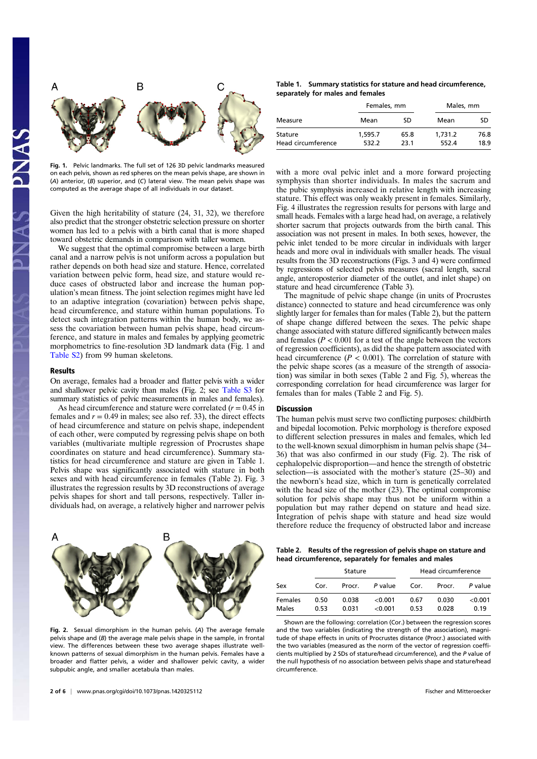

Fig. 1. Pelvic landmarks. The full set of 126 3D pelvic landmarks measured on each pelvis, shown as red spheres on the mean pelvis shape, are shown in (A) anterior, (B) superior, and (C) lateral view. The mean pelvis shape was computed as the average shape of all individuals in our dataset.

Given the high heritability of stature (24, 31, 32), we therefore also predict that the stronger obstetric selection pressure on shorter women has led to a pelvis with a birth canal that is more shaped toward obstetric demands in comparison with taller women.

We suggest that the optimal compromise between a large birth canal and a narrow pelvis is not uniform across a population but rather depends on both head size and stature. Hence, correlated variation between pelvic form, head size, and stature would reduce cases of obstructed labor and increase the human population's mean fitness. The joint selection regimes might have led to an adaptive integration (covariation) between pelvis shape, head circumference, and stature within human populations. To detect such integration patterns within the human body, we assess the covariation between human pelvis shape, head circumference, and stature in males and females by applying geometric morphometrics to fine-resolution 3D landmark data (Fig. 1 and Table S2) from 99 human skeletons.

### Results

AS PNAS

On average, females had a broader and flatter pelvis with a wider and shallower pelvic cavity than males (Fig. 2; see Table S3 for summary statistics of pelvic measurements in males and females).

As head circumference and stature were correlated  $(r = 0.45)$  in females and  $r = 0.49$  in males; see also ref. 33), the direct effects of head circumference and stature on pelvis shape, independent of each other, were computed by regressing pelvis shape on both variables (multivariate multiple regression of Procrustes shape coordinates on stature and head circumference). Summary statistics for head circumference and stature are given in Table 1. Pelvis shape was significantly associated with stature in both sexes and with head circumference in females (Table 2). Fig. 3 illustrates the regression results by 3D reconstructions of average pelvis shapes for short and tall persons, respectively. Taller individuals had, on average, a relatively higher and narrower pelvis



Fig. 2. Sexual dimorphism in the human pelvis. (A) The average female pelvis shape and (B) the average male pelvis shape in the sample, in frontal view. The differences between these two average shapes illustrate wellknown patterns of sexual dimorphism in the human pelvis. Females have a broader and flatter pelvis, a wider and shallower pelvic cavity, a wider subpubic angle, and smaller acetabula than males.

2 of 6 | www.pnas.org/cgi/doi/10.1073/pnas.1420325112 Fischer and Mitteroecker

Table 1. Summary statistics for stature and head circumference, separately for males and females

|                    | Females, mm |      | Males, mm |      |  |
|--------------------|-------------|------|-----------|------|--|
| Measure            | Mean        | SD   | Mean      | SD   |  |
| Stature            | 1.595.7     | 65.8 | 1.731.2   | 76.8 |  |
| Head circumference | 532.2       | 23.1 | 552.4     | 18.9 |  |

with a more oval pelvic inlet and a more forward projecting symphysis than shorter individuals. In males the sacrum and the pubic symphysis increased in relative length with increasing stature. This effect was only weakly present in females. Similarly, Fig. 4 illustrates the regression results for persons with large and small heads. Females with a large head had, on average, a relatively shorter sacrum that projects outwards from the birth canal. This association was not present in males. In both sexes, however, the pelvic inlet tended to be more circular in individuals with larger heads and more oval in individuals with smaller heads. The visual results from the 3D reconstructions (Figs. 3 and 4) were confirmed by regressions of selected pelvis measures (sacral length, sacral angle, anteroposterior diameter of the outlet, and inlet shape) on stature and head circumference (Table 3).

The magnitude of pelvic shape change (in units of Procrustes distance) connected to stature and head circumference was only slightly larger for females than for males (Table 2), but the pattern of shape change differed between the sexes. The pelvic shape change associated with stature differed significantly between males and females ( $P < 0.001$  for a test of the angle between the vectors of regression coefficients), as did the shape pattern associated with head circumference ( $P < 0.001$ ). The correlation of stature with the pelvic shape scores (as a measure of the strength of association) was similar in both sexes (Table 2 and Fig. 5), whereas the corresponding correlation for head circumference was larger for females than for males (Table 2 and Fig. 5).

## **Discussion**

The human pelvis must serve two conflicting purposes: childbirth and bipedal locomotion. Pelvic morphology is therefore exposed to different selection pressures in males and females, which led to the well-known sexual dimorphism in human pelvis shape (34– 36) that was also confirmed in our study (Fig. 2). The risk of cephalopelvic disproportion—and hence the strength of obstetric selection—is associated with the mother's stature (25–30) and the newborn's head size, which in turn is genetically correlated with the head size of the mother (23). The optimal compromise solution for pelvis shape may thus not be uniform within a population but may rather depend on stature and head size. Integration of pelvis shape with stature and head size would therefore reduce the frequency of obstructed labor and increase

Table 2. Results of the regression of pelvis shape on stature and head circumference, separately for females and males

|                  |              | Stature        |                      | Head circumference |                |                 |  |
|------------------|--------------|----------------|----------------------|--------------------|----------------|-----------------|--|
| Sex              | Cor.         | Procr.         | P value              | Cor.               | Procr.         | P value         |  |
| Females<br>Males | 0.50<br>0.53 | 0.038<br>0.031 | < 0.001<br>$<$ 0.001 | 0.67<br>0.53       | 0.030<br>0.028 | < 0.001<br>0.19 |  |

Shown are the following: correlation (Cor.) between the regression scores and the two variables (indicating the strength of the association), magnitude of shape effects in units of Procrustes distance (Procr.) associated with the two variables (measured as the norm of the vector of regression coefficients multiplied by 2 SDs of stature/head circumference), and the P value of the null hypothesis of no association between pelvis shape and stature/head circumference.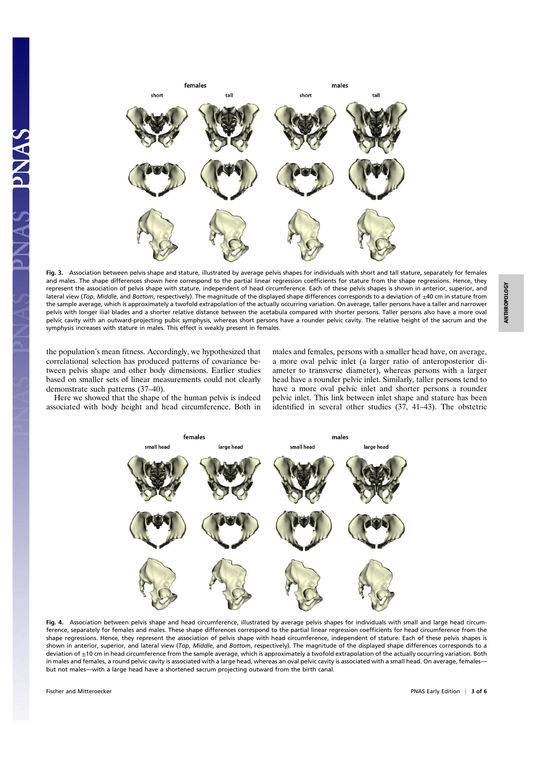

Fig. 3. Association between pelvis shape and stature, illustrated by average pelvis shapes for individuals with short and tall stature, separately for females and males. The shape differences shown here correspond to the partial linear regression coefficients for stature from the shape regressions. Hence, they represent the association of pelvis shape with stature, independent of head circumference. Each of these pelvis shapes is shown in anterior, superior, and lateral view (Top, Middle, and Bottom, respectively). The magnitude of the displayed shape differences corresponds to a deviation of ±40 cm in stature from the sample average, which is approximately a twofold extrapolation of the actually occurring variation. On average, taller persons have a taller and narrower pelvis with longer ilial blades and a shorter relative distance between the acetabula compared with shorter persons. Taller persons also have a more oval pelvic cavity with an outward-projecting pubic symphysis, whereas short persons have a rounder pelvic cavity. The relative height of the sacrum and the symphysis increases with stature in males. This effect is weakly present in females.

the population's mean fitness. Accordingly, we hypothesized that correlational selection has produced patterns of covariance between pelvis shape and other body dimensions. Earlier studies based on smaller sets of linear measurements could not clearly demonstrate such patterns (37–40).

males and females, persons with a smaller head have, on average, a more oval pelvic inlet (a larger ratio of anteroposterior diameter to transverse diameter), whereas persons with a larger head have a rounder pelvic inlet. Similarly, taller persons tend to have a more oval pelvic inlet and shorter persons a rounder pelvic inlet. This link between inlet shape and stature has been identified in several other studies (37, 41–43). The obstetric

Here we showed that the shape of the human pelvis is indeed associated with body height and head circumference. Both in



Fig. 4. Association between pelvis shape and head circumference, illustrated by average pelvis shapes for individuals with small and large head circumference, separately for females and males. These shape differences correspond to the partial linear regression coefficients for head circumference from the shape regressions. Hence, they represent the association of pelvis shape with head circumference, independent of stature. Each of these pelvis shapes is shown in anterior, superior, and lateral view (Top, Middle, and Bottom, respectively). The magnitude of the displayed shape differences corresponds to a deviation of ±10 cm in head circumference from the sample average, which is approximately a twofold extrapolation of the actually occurring variation. Both in males and females, a round pelvic cavity is associated with a large head, whereas an oval pelvic cavity is associated with a small head. On average, femalesbut not males—with a large head have a shortened sacrum projecting outward from the birth canal.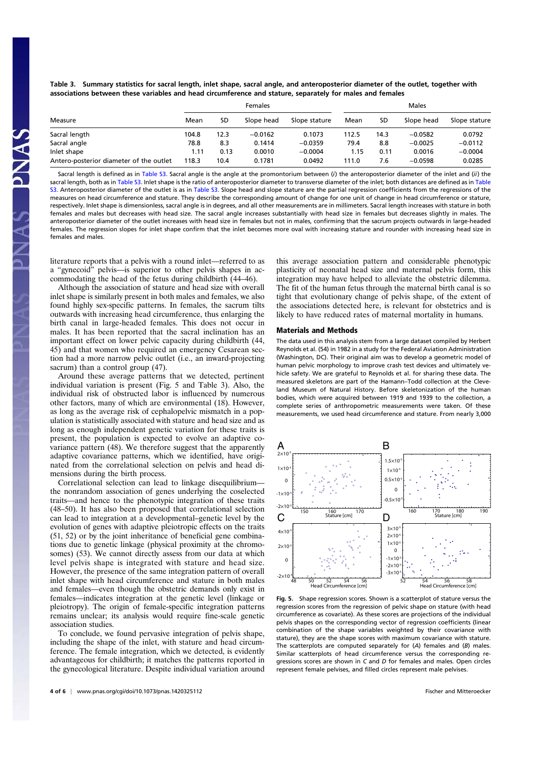| Table 3. Summary statistics for sacral length, inlet shape, sacral angle, and anteroposterior diameter of the outlet, together with |  |  |  |  |
|-------------------------------------------------------------------------------------------------------------------------------------|--|--|--|--|
| associations between these variables and head circumference and stature, separately for males and females                           |  |  |  |  |

|                                         | <b>Females</b> |      |            |               | Males |      |            |               |
|-----------------------------------------|----------------|------|------------|---------------|-------|------|------------|---------------|
| Measure                                 | Mean           | SD   | Slope head | Slope stature | Mean  | SD   | Slope head | Slope stature |
| Sacral length                           | 104.8          | 12.3 | $-0.0162$  | 0.1073        | 112.5 | 14.3 | $-0.0582$  | 0.0792        |
| Sacral angle                            | 78.8           | 8.3  | 0.1414     | $-0.0359$     | 79.4  | 8.8  | $-0.0025$  | $-0.0112$     |
| Inlet shape                             | 1.11           | 0.13 | 0.0010     | $-0.0004$     | 1.15  | 0.11 | 0.0016     | $-0.0004$     |
| Antero-posterior diameter of the outlet | 118.3          | 10.4 | 0.1781     | 0.0492        | 111.0 | 7.6  | $-0.0598$  | 0.0285        |

Sacral length is defined as in Table S3. Sacral angle is the angle at the promontorium between (i) the anteroposterior diameter of the inlet and (ii) the sacral length, both as in Table S3. Inlet shape is the ratio of anteroposterior diameter to transverse diameter of the inlet; both distances are defined as in Table S3. Anteroposterior diameter of the outlet is as in Table S3. Slope head and slope stature are the partial regression coefficients from the regressions of the measures on head circumference and stature. They describe the corresponding amount of change for one unit of change in head circumference or stature, respectively. Inlet shape is dimensionless, sacral angle is in degrees, and all other measurements are in millimeters. Sacral length increases with stature in both females and males but decreases with head size. The sacral angle increases substantially with head size in females but decreases slightly in males. The anteroposterior diameter of the outlet increases with head size in females but not in males, confirming that the sacrum projects outwards in large-headed females. The regression slopes for inlet shape confirm that the inlet becomes more oval with increasing stature and rounder with increasing head size in females and males.

literature reports that a pelvis with a round inlet—referred to as a "gynecoid" pelvis—is superior to other pelvis shapes in accommodating the head of the fetus during childbirth (44–46).

Although the association of stature and head size with overall inlet shape is similarly present in both males and females, we also found highly sex-specific patterns. In females, the sacrum tilts outwards with increasing head circumference, thus enlarging the birth canal in large-headed females. This does not occur in males. It has been reported that the sacral inclination has an important effect on lower pelvic capacity during childbirth (44, 45) and that women who required an emergency Cesarean section had a more narrow pelvic outlet (i.e., an inward-projecting sacrum) than a control group (47).

Around these average patterns that we detected, pertinent individual variation is present (Fig. 5 and Table 3). Also, the individual risk of obstructed labor is influenced by numerous other factors, many of which are environmental (18). However, as long as the average risk of cephalopelvic mismatch in a population is statistically associated with stature and head size and as long as enough independent genetic variation for these traits is present, the population is expected to evolve an adaptive covariance pattern (48). We therefore suggest that the apparently adaptive covariance patterns, which we identified, have originated from the correlational selection on pelvis and head dimensions during the birth process.

Correlational selection can lead to linkage disequilibrium the nonrandom association of genes underlying the coselected traits—and hence to the phenotypic integration of these traits (48–50). It has also been proposed that correlational selection can lead to integration at a developmental–genetic level by the evolution of genes with adaptive pleiotropic effects on the traits (51, 52) or by the joint inheritance of beneficial gene combinations due to genetic linkage (physical proximity at the chromosomes) (53). We cannot directly assess from our data at which level pelvis shape is integrated with stature and head size. However, the presence of the same integration pattern of overall inlet shape with head circumference and stature in both males and females—even though the obstetric demands only exist in females—indicates integration at the genetic level (linkage or pleiotropy). The origin of female-specific integration patterns remains unclear; its analysis would require fine-scale genetic association studies.

To conclude, we found pervasive integration of pelvis shape, including the shape of the inlet, with stature and head circumference. The female integration, which we detected, is evidently advantageous for childbirth; it matches the patterns reported in the gynecological literature. Despite individual variation around this average association pattern and considerable phenotypic plasticity of neonatal head size and maternal pelvis form, this integration may have helped to alleviate the obstetric dilemma. The fit of the human fetus through the maternal birth canal is so tight that evolutionary change of pelvis shape, of the extent of the associations detected here, is relevant for obstetrics and is likely to have reduced rates of maternal mortality in humans.

### Materials and Methods

The data used in this analysis stem from a large dataset compiled by Herbert Reynolds et al. (54) in 1982 in a study for the Federal Aviation Administration (Washington, DC). Their original aim was to develop a geometric model of human pelvic morphology to improve crash test devices and ultimately vehicle safety. We are grateful to Reynolds et al. for sharing these data. The measured skeletons are part of the Hamann–Todd collection at the Cleveland Museum of Natural History. Before skeletonization of the human bodies, which were acquired between 1919 and 1939 to the collection, a complete series of anthropometric measurements were taken. Of these measurements, we used head circumference and stature. From nearly 3,000



Fig. 5. Shape regression scores. Shown is a scatterplot of stature versus the regression scores from the regression of pelvic shape on stature (with head circumference as covariate). As these scores are projections of the individual pelvis shapes on the corresponding vector of regression coefficients (linear combination of the shape variables weighted by their covariance with stature), they are the shape scores with maximum covariance with stature. The scatterplots are computed separately for  $(A)$  females and  $(B)$  males. Similar scatterplots of head circumference versus the corresponding regressions scores are shown in  $C$  and  $D$  for females and males. Open circles represent female pelvises, and filled circles represent male pelvises.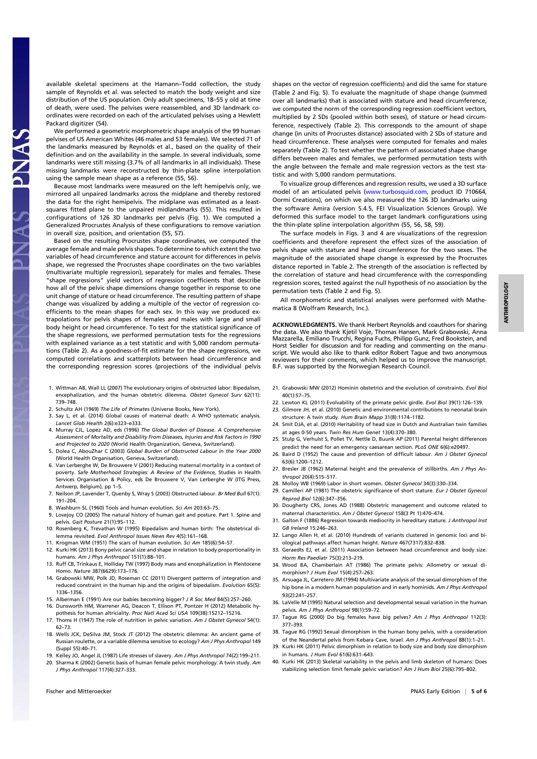available skeletal specimens at the Hamann–Todd collection, the study sample of Reynolds et al. was selected to match the body weight and size distribution of the US population. Only adult specimens, 18–55 y old at time of death, were used. The pelvises were reassembled, and 3D landmark coordinates were recorded on each of the articulated pelvises using a Hewlett Packard digitizer (54).

We performed a geometric morphometric shape analysis of the 99 human pelvises of US American Whites (46 males and 53 females). We selected 71 of the landmarks measured by Reynolds et al., based on the quality of their definition and on the availability in the sample. In several individuals, some landmarks were still missing (3.7% of all landmarks in all individuals). These missing landmarks were reconstructed by thin-plate spline interpolation using the sample mean shape as a reference (55, 56).

Because most landmarks were measured on the left hemipelvis only, we mirrored all unpaired landmarks across the midplane and thereby restored the data for the right hemipelvis. The midplane was estimated as a leastsquares fitted plane to the unpaired midlandmarks (55). This resulted in configurations of 126 3D landmarks per pelvis (Fig. 1). We computed a Generalized Procrustes Analysis of these configurations to remove variation in overall size, position, and orientation (55, 57).

Based on the resulting Procrustes shape coordinates, we computed the average female and male pelvis shapes. To determine to which extent the two variables of head circumference and stature account for differences in pelvis shape, we regressed the Procrustes shape coordinates on the two variables (multivariate multiple regression), separately for males and females. These "shape regressions" yield vectors of regression coefficients that describe how all of the pelvic shape dimensions change together in response to one unit change of stature or head circumference. The resulting pattern of shape change was visualized by adding a multiple of the vector of regression coefficients to the mean shapes for each sex. In this way we produced extrapolations for pelvis shapes of females and males with large and small body height or head circumference. To test for the statistical significance of the shape regressions, we performed permutation tests for the regressions with explained variance as a test statistic and with 5,000 random permutations (Table 2). As a goodness-of-fit estimate for the shape regressions, we computed correlations and scatterplots between head circumference and the corresponding regression scores (projections of the individual pelvis

- 1. Wittman AB, Wall LL (2007) The evolutionary origins of obstructed labor: Bipedalism, encephalization, and the human obstetric dilemma. Obstet Gynecol Surv 62(11): 739–748.
- 2. Schultz AH (1969) The Life of Primates (Universe Books, New York).
- 3. Say L, et al. (2014) Global causes of maternal death: A WHO systematic analysis. Lancet Glob Health 2(6):e323–e333.
- 4. Murray CJL, Lopez AD, eds (1996) The Global Burden of Disease. A Comprehensive Assessment of Mortality and Disability From Diseases, Injuries and Risk Factors in 1990 and Projected to 2020 (World Health Organization, Geneva, Switzerland).
- 5. Dolea C, AbouZhar C (2003) Global Burden of Obstructed Labour in the Year 2000 (World Health Organisation, Geneva, Switzerland).
- 6. Van Lerberghe W, De Brouwere V (2001) Reducing maternal mortality in a context of poverty. Safe Motherhood Strategies: A Review of the Evidence, Studies in Health Services Organisation & Policy, eds De Brouwere V, Van Lerberghe W (ITG Press, Antwerp, Belgium), pp 1–5.
- 7. Neilson JP, Lavender T, Quenby S, Wray S (2003) Obstructed labour. Br Med Bull 67(1): 191–204.
- 8. Washburn SL (1960) Tools and human evolution. Sci Am 203:63–75.
- 9. Lovejoy CO (2005) The natural history of human gait and posture. Part 1. Spine and pelvis. Gait Posture 21(1):95–112.
- 10. Rosenberg K, Trevathan W (1995) Bipedalism and human birth: The obstetrical dilemma revisited. Evol Anthropol Issues News Rev 4(5):161–168.
- 11. Krogman WM (1951) The scars of human evolution. Sci Am 185(6):54–57.
- 12. Kurki HK (2013) Bony pelvic canal size and shape in relation to body proportionality in humans. Am J Phys Anthropol 151(1):88–101.
- 13. Ruff CB, Trinkaus E, Holliday TW (1997) Body mass and encephalization in Pleistocene Homo. Nature 387(6629):173–176.
- 14. Grabowski MW, Polk JD, Roseman CC (2011) Divergent patterns of integration and reduced constraint in the human hip and the origins of bipedalism. Evolution 65(5): 1336–1356.
- 15. Alberman E (1991) Are our babies becoming bigger? J R Soc Med 84(5):257–260. 16. Dunsworth HM, Warrener AG, Deacon T, Ellison PT, Pontzer H (2012) Metabolic hy-
- pothesis for human altriciality. Proc Natl Acad Sci USA 109(38):15212–15216. 17. Thoms H (1947) The role of nutrition in pelvic variation. Am J Obstet Gynecol 54(1):
- 62–73. 18. Wells JCK, DeSilva JM, Stock JT (2012) The obstetric dilemma: An ancient game of Russian roulette, or a variable dilemma sensitive to ecology? Am J Phys Anthropol 149 (Suppl 55):40–71.
- 19. Kelley JO, Angel JL (1987) Life stresses of slavery. Am J Phys Anthropol 74(2):199–211. 20. Sharma K (2002) Genetic basis of human female pelvic morphology: A twin study. Am J Phys Anthropol 117(4):327–333.

shapes on the vector of regression coefficients) and did the same for stature (Table 2 and Fig. 5). To evaluate the magnitude of shape change (summed over all landmarks) that is associated with stature and head circumference, we computed the norm of the corresponding regression coefficient vectors, multiplied by 2 SDs (pooled within both sexes), of stature or head circumference, respectively (Table 2). This corresponds to the amount of shape change (in units of Procrustes distance) associated with 2 SDs of stature and head circumference. These analyses were computed for females and males separately (Table 2). To test whether the pattern of associated shape change differs between males and females, we performed permutation tests with the angle between the female and male regression vectors as the test statistic and with 5,000 random permutations.

To visualize group differences and regression results, we used a 3D surface model of an articulated pelvis (www.turbosquid.com, product ID 710664, Oormi Creations), on which we also measured the 126 3D landmarks using the software Amira (version 5.4.5, FEI Visualization Sciences Group). We deformed this surface model to the target landmark configurations using the thin-plate spline interpolation algorithm (55, 56, 58, 59).

The surface models in Figs. 3 and 4 are visualizations of the regression coefficients and therefore represent the effect sizes of the association of pelvis shape with stature and head circumference for the two sexes. The magnitude of the associated shape change is expressed by the Procrustes distance reported in Table 2. The strength of the association is reflected by the correlation of stature and head circumference with the corresponding regression scores, tested against the null hypothesis of no association by the permutation tests (Table 2 and Fig. 5).

All morphometric and statistical analyses were performed with Mathematica 8 (Wolfram Research, Inc.).

ACKNOWLEDGMENTS. We thank Herbert Reynolds and coauthors for sharing the data. We also thank Kjetil Voje, Thomas Hansen, Mark Grabowski, Anna Mazzarella, Emiliano Trucchi, Regina Fuchs, Philipp Gunz, Fred Bookstein, and Horst Seidler for discussion and for reading and commenting on the manuscript. We would also like to thank editor Robert Tague and two anonymous reviewers for their comments, which helped us to improve the manuscript. B.F. was supported by the Norwegian Research Council.

- 21. Grabowski MW (2012) Hominin obstetrics and the evolution of constraints. Evol Biol  $40(1)$  $-57-75$
- 22. Lewton KL (2011) Evolvability of the primate pelvic girdle. Evol Biol 39(1):126-139. 23. Gilmore JH, et al. (2010) Genetic and environmental contributions to neonatal brain
- structure: A twin study. Hum Brain Mapp 31(8):1174–1182. 24. Smit DJA, et al. (2010) Heritability of head size in Dutch and Australian twin families
- at ages 0-50 years. Twin Res Hum Genet 13(4):370–380. 25. Stulp G, Verhulst S, Pollet TV, Nettle D, Buunk AP (2011) Parental height differences
- predict the need for an emergency caesarean section. PLoS ONE 6(6):e20497.
- 26. Baird D (1952) The cause and prevention of difficult labour. Am J Obstet Gyneco. 63(6):1200–1212.
- 27. Bresler JB (1962) Maternal height and the prevalence of stillbirths. Am J Phys Anthropol 20(4):515–517.
- 28. Molloy WB (1969) Labor in short women. Obstet Gynecol 34(3):330–334.
- 29. Camilleri AP (1981) The obstetric significance of short stature. Eur J Obstet Gynecol Reprod Biol 12(6):347–356.
- 30. Dougherty CRS, Jones AD (1988) Obstetric management and outcome related to maternal characteristics. Am J Obstet Gynecol 158(3 Pt 1):470–474.
- 31. Galton F (1886) Regression towards mediocrity in hereditary stature. J Anthropol Inst GB Ireland 15:246–263.
- 32. Lango Allen H, et al. (2010) Hundreds of variants clustered in genomic loci and biological pathways affect human height. Nature 467(7317):832–838.
- 33. Geraedts EJ, et al. (2011) Association between head circumference and body size. Horm Res Paediatr 75(3):213–219.
- 34. Wood BA, Chamberlain AT (1986) The primate pelvis: Allometry or sexual dimorphism? J Hum Evol 15(4):257–263.
- 35. Arsuaga JL, Carretero JM (1994) Multivariate analysis of the sexual dimorphism of the hip bone in a modern human population and in early hominids. Am J Phys Anthropol 93(2):241–257.
- 36. LaVelle M (1995) Natural selection and developmental sexual variation in the human pelvis. Am J Phys Anthropol 98(1):59–72.
- 37. Tague RG (2000) Do big females have big pelves? Am J Phys Anthropol 112(3): 377–393.
- 38. Tague RG (1992) Sexual dimorphism in the human bony pelvis, with a consideration of the Neandertal pelvis from Kebara Cave, Israel. Am J Phys Anthropol 88(1):1–21.
- 39. Kurki HK (2011) Pelvic dimorphism in relation to body size and body size dimorphism in humans. J Hum Evol 61(6):631–643.
- 40. Kurki HK (2013) Skeletal variability in the pelvis and limb skeleton of humans: Does stabilizing selection limit female pelvic variation? Am J Hum Biol 25(6):795–802.